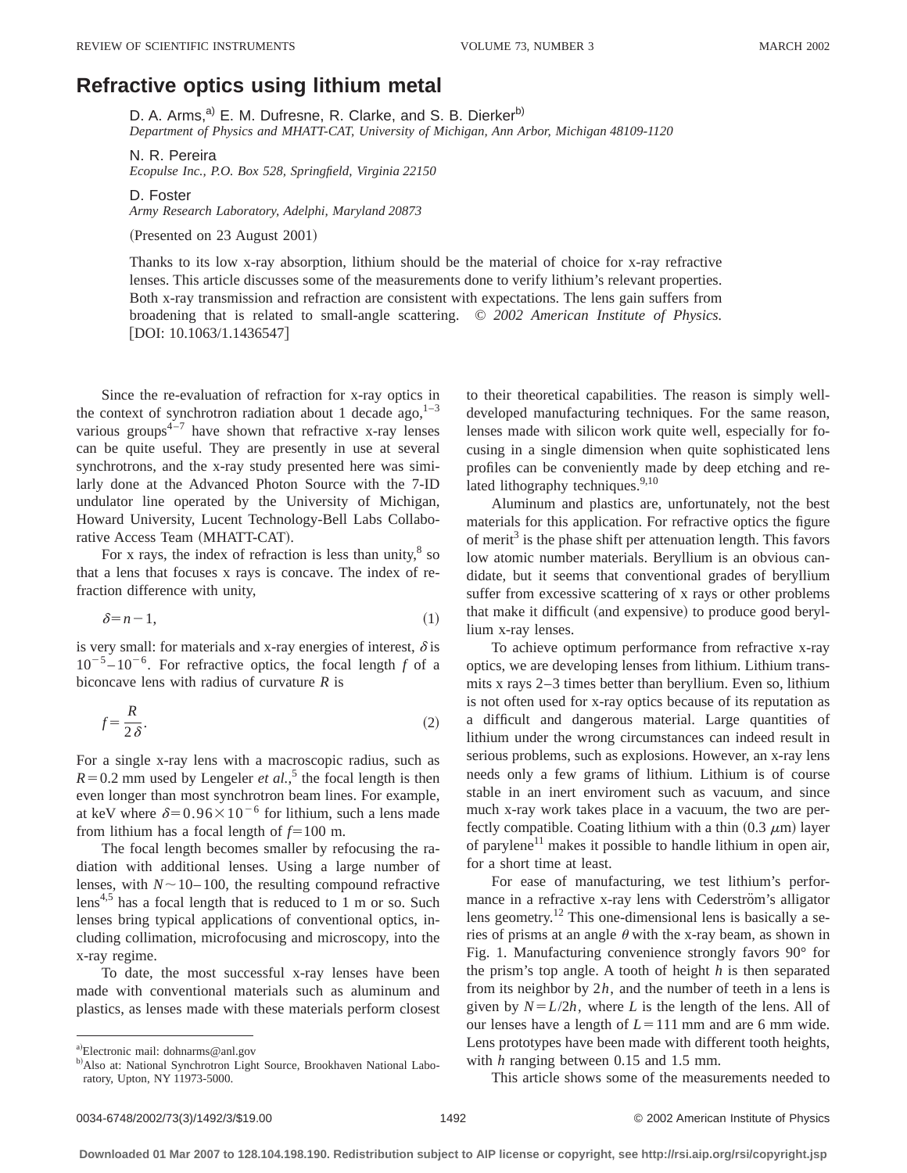## **Refractive optics using lithium metal**

D. A. Arms,<sup>a)</sup> E. M. Dufresne, R. Clarke, and S. B. Dierker<sup>b)</sup> *Department of Physics and MHATT-CAT, University of Michigan, Ann Arbor, Michigan 48109-1120*

N. R. Pereira *Ecopulse Inc., P.O. Box 528, Springfield, Virginia 22150*

D. Foster *Army Research Laboratory, Adelphi, Maryland 20873*

(Presented on 23 August 2001)

Thanks to its low x-ray absorption, lithium should be the material of choice for x-ray refractive lenses. This article discusses some of the measurements done to verify lithium's relevant properties. Both x-ray transmission and refraction are consistent with expectations. The lens gain suffers from broadening that is related to small-angle scattering. © *2002 American Institute of Physics.* [DOI: 10.1063/1.1436547]

Since the re-evaluation of refraction for x-ray optics in the context of synchrotron radiation about 1 decade ago,  $1-3$ various groups<sup> $4-7$ </sup> have shown that refractive x-ray lenses can be quite useful. They are presently in use at several synchrotrons, and the x-ray study presented here was similarly done at the Advanced Photon Source with the 7-ID undulator line operated by the University of Michigan, Howard University, Lucent Technology-Bell Labs Collaborative Access Team (MHATT-CAT).

For x rays, the index of refraction is less than unity, $8$  so that a lens that focuses x rays is concave. The index of refraction difference with unity,

$$
\delta = n - 1,\tag{1}
$$

is very small: for materials and x-ray energies of interest,  $\delta$  is  $10^{-5} - 10^{-6}$ . For refractive optics, the focal length *f* of a biconcave lens with radius of curvature *R* is

$$
f = \frac{R}{2\delta}.\tag{2}
$$

For a single x-ray lens with a macroscopic radius, such as  $R=0.2$  mm used by Lengeler *et al.*,<sup>5</sup> the focal length is then even longer than most synchrotron beam lines. For example, at keV where  $\delta$ =0.96×10<sup>-6</sup> for lithium, such a lens made from lithium has a focal length of  $f=100$  m.

The focal length becomes smaller by refocusing the radiation with additional lenses. Using a large number of lenses, with  $N \sim 10-100$ , the resulting compound refractive lens<sup>4,5</sup> has a focal length that is reduced to 1 m or so. Such lenses bring typical applications of conventional optics, including collimation, microfocusing and microscopy, into the x-ray regime.

To date, the most successful x-ray lenses have been made with conventional materials such as aluminum and plastics, as lenses made with these materials perform closest to their theoretical capabilities. The reason is simply welldeveloped manufacturing techniques. For the same reason, lenses made with silicon work quite well, especially for focusing in a single dimension when quite sophisticated lens profiles can be conveniently made by deep etching and related lithography techniques. $9,10$ 

Aluminum and plastics are, unfortunately, not the best materials for this application. For refractive optics the figure of merit<sup>3</sup> is the phase shift per attenuation length. This favors low atomic number materials. Beryllium is an obvious candidate, but it seems that conventional grades of beryllium suffer from excessive scattering of x rays or other problems that make it difficult (and expensive) to produce good beryllium x-ray lenses.

To achieve optimum performance from refractive x-ray optics, we are developing lenses from lithium. Lithium transmits x rays 2–3 times better than beryllium. Even so, lithium is not often used for x-ray optics because of its reputation as a difficult and dangerous material. Large quantities of lithium under the wrong circumstances can indeed result in serious problems, such as explosions. However, an x-ray lens needs only a few grams of lithium. Lithium is of course stable in an inert enviroment such as vacuum, and since much x-ray work takes place in a vacuum, the two are perfectly compatible. Coating lithium with a thin  $(0.3 \mu m)$  layer of parylene<sup>11</sup> makes it possible to handle lithium in open air, for a short time at least.

For ease of manufacturing, we test lithium's performance in a refractive x-ray lens with Cederström's alligator lens geometry.12 This one-dimensional lens is basically a series of prisms at an angle  $\theta$  with the x-ray beam, as shown in Fig. 1. Manufacturing convenience strongly favors 90° for the prism's top angle. A tooth of height *h* is then separated from its neighbor by 2*h*, and the number of teeth in a lens is given by  $N = L/2h$ , where *L* is the length of the lens. All of our lenses have a length of  $L = 111$  mm and are 6 mm wide. Lens prototypes have been made with different tooth heights, with *h* ranging between 0.15 and 1.5 mm.

This article shows some of the measurements needed to

a)Electronic mail: dohnarms@anl.gov

b) Also at: National Synchrotron Light Source, Brookhaven National Laboratory, Upton, NY 11973-5000.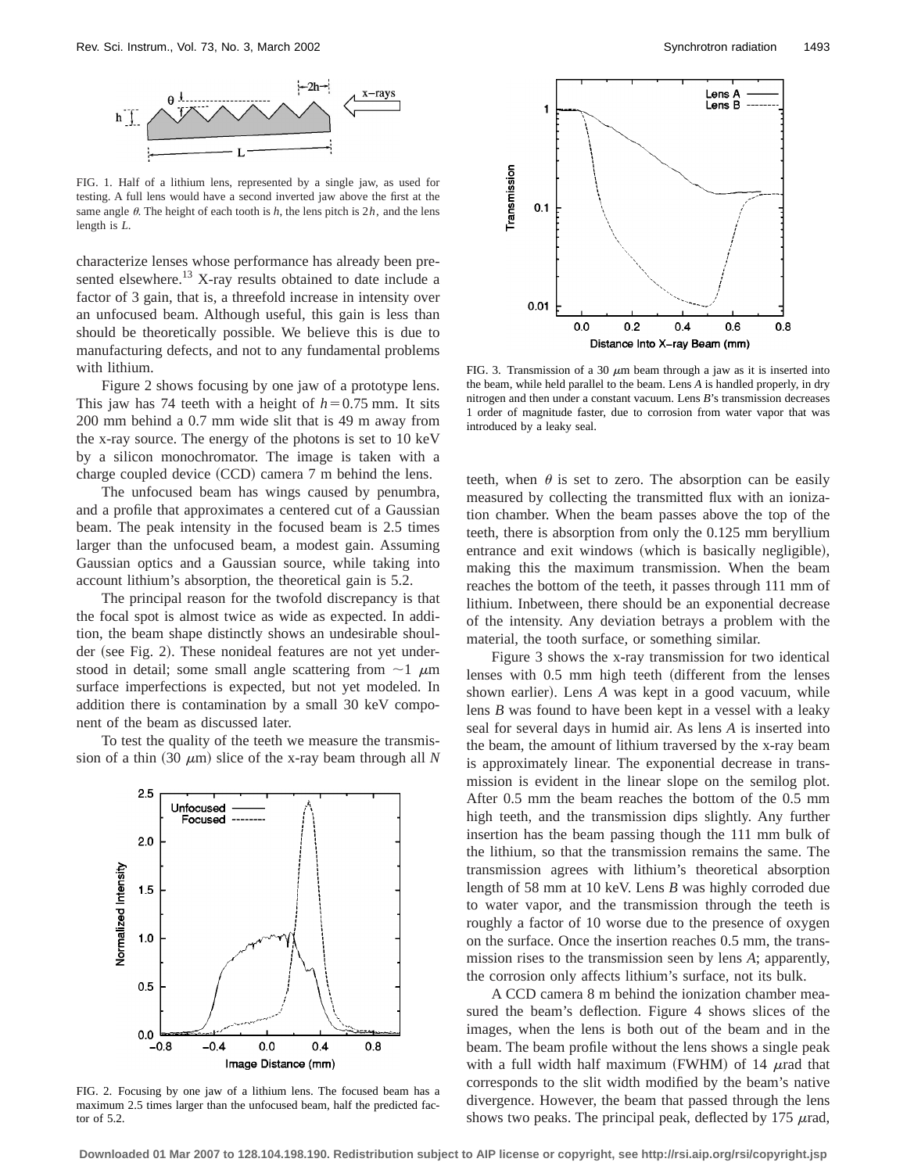

FIG. 1. Half of a lithium lens, represented by a single jaw, as used for testing. A full lens would have a second inverted jaw above the first at the same angle  $\theta$ . The height of each tooth is  $h$ , the lens pitch is  $2h$ , and the lens length is *L*.

characterize lenses whose performance has already been presented elsewhere.<sup>13</sup> X-ray results obtained to date include a factor of 3 gain, that is, a threefold increase in intensity over an unfocused beam. Although useful, this gain is less than should be theoretically possible. We believe this is due to manufacturing defects, and not to any fundamental problems with lithium.

Figure 2 shows focusing by one jaw of a prototype lens. This jaw has 74 teeth with a height of  $h=0.75$  mm. It sits 200 mm behind a 0.7 mm wide slit that is 49 m away from the x-ray source. The energy of the photons is set to 10 keV by a silicon monochromator. The image is taken with a charge coupled device  $(CCD)$  camera 7 m behind the lens.

The unfocused beam has wings caused by penumbra, and a profile that approximates a centered cut of a Gaussian beam. The peak intensity in the focused beam is 2.5 times larger than the unfocused beam, a modest gain. Assuming Gaussian optics and a Gaussian source, while taking into account lithium's absorption, the theoretical gain is 5.2.

The principal reason for the twofold discrepancy is that the focal spot is almost twice as wide as expected. In addition, the beam shape distinctly shows an undesirable shoulder (see Fig. 2). These nonideal features are not yet understood in detail; some small angle scattering from  $\sim$ 1  $\mu$ m surface imperfections is expected, but not yet modeled. In addition there is contamination by a small 30 keV component of the beam as discussed later.

To test the quality of the teeth we measure the transmission of a thin  $(30 \mu m)$  slice of the x-ray beam through all *N* 



FIG. 2. Focusing by one jaw of a lithium lens. The focused beam has a maximum 2.5 times larger than the unfocused beam, half the predicted factor of 5.2.



FIG. 3. Transmission of a 30  $\mu$ m beam through a jaw as it is inserted into the beam, while held parallel to the beam. Lens *A* is handled properly, in dry nitrogen and then under a constant vacuum. Lens *B*'s transmission decreases 1 order of magnitude faster, due to corrosion from water vapor that was introduced by a leaky seal.

teeth, when  $\theta$  is set to zero. The absorption can be easily measured by collecting the transmitted flux with an ionization chamber. When the beam passes above the top of the teeth, there is absorption from only the 0.125 mm beryllium entrance and exit windows (which is basically negligible), making this the maximum transmission. When the beam reaches the bottom of the teeth, it passes through 111 mm of lithium. Inbetween, there should be an exponential decrease of the intensity. Any deviation betrays a problem with the material, the tooth surface, or something similar.

Figure 3 shows the x-ray transmission for two identical lenses with 0.5 mm high teeth (different from the lenses shown earlier). Lens *A* was kept in a good vacuum, while lens *B* was found to have been kept in a vessel with a leaky seal for several days in humid air. As lens *A* is inserted into the beam, the amount of lithium traversed by the x-ray beam is approximately linear. The exponential decrease in transmission is evident in the linear slope on the semilog plot. After 0.5 mm the beam reaches the bottom of the 0.5 mm high teeth, and the transmission dips slightly. Any further insertion has the beam passing though the 111 mm bulk of the lithium, so that the transmission remains the same. The transmission agrees with lithium's theoretical absorption length of 58 mm at 10 keV. Lens *B* was highly corroded due to water vapor, and the transmission through the teeth is roughly a factor of 10 worse due to the presence of oxygen on the surface. Once the insertion reaches 0.5 mm, the transmission rises to the transmission seen by lens *A*; apparently, the corrosion only affects lithium's surface, not its bulk.

A CCD camera 8 m behind the ionization chamber measured the beam's deflection. Figure 4 shows slices of the images, when the lens is both out of the beam and in the beam. The beam profile without the lens shows a single peak with a full width half maximum (FWHM) of 14  $\mu$ rad that corresponds to the slit width modified by the beam's native divergence. However, the beam that passed through the lens shows two peaks. The principal peak, deflected by 175  $\mu$ rad,

**Downloaded 01 Mar 2007 to 128.104.198.190. Redistribution subject to AIP license or copyright, see http://rsi.aip.org/rsi/copyright.jsp**